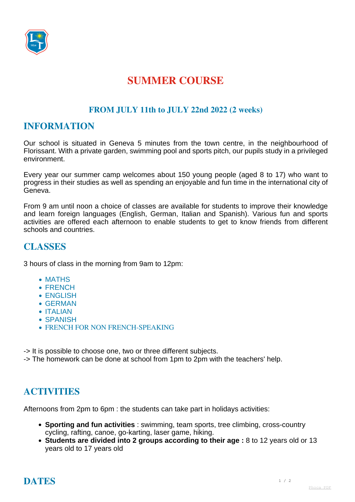

# **SUMMER COURSE**

#### **FROM JULY 11th to JULY 22nd 2022 (2 weeks)**

### **INFORMATION**

Our school is situated in Geneva 5 minutes from the town centre, in the neighbourhood of Florissant. With a private garden, swimming pool and sports pitch, our pupils study in a privileged environment.

Every year our summer camp welcomes about 150 young people (aged 8 to 17) who want to progress in their studies as well as spending an enjoyable and fun time in the international city of Geneva.

From 9 am until noon a choice of classes are available for students to improve their knowledge and learn foreign languages (English, German, Italian and Spanish). Various fun and sports activities are offered each afternoon to enable students to get to know friends from different schools and countries.

### **CLASSES**

3 hours of class in the morning from 9am to 12pm:

- MATHS
- FRENCH
- ENGLISH
- GERMAN
- ITALIAN
- SPANISH
- **FRENCH FOR NON FRENCH-SPEAKING**
- -> It is possible to choose one, two or three different subjects.

-> The homework can be done at school from 1pm to 2pm with the teachers' help.

# **ACTIVITIES**

Afternoons from 2pm to 6pm : the students can take part in holidays activities:

- **Sporting and fun activities** : swimming, team sports, tree climbing, cross-country cycling, rafting, canoe, go-karting, laser game, hiking.
- **Students are divided into 2 groups according to their age :** 8 to 12 years old or 13 years old to 17 years old